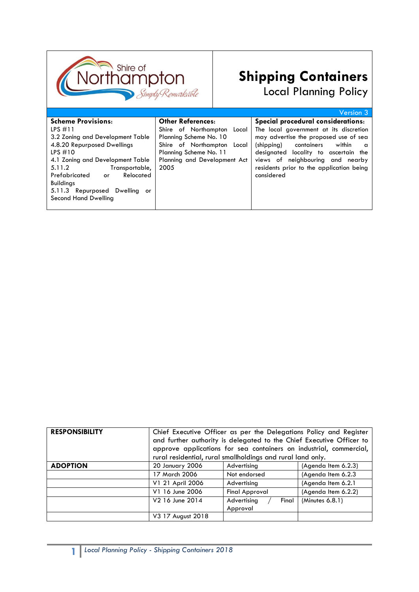

# **Shipping Containers** Local Planning Policy

Version 3 **Scheme Provisions**: LPS #11 3.2 Zoning and Development Table 4.8.20 Repurposed Dwellings LPS #10 4.1 Zoning and Development Table 5.11.2 Transportable, Prefabricated or Relocated Buildings 5.11.3 Repurposed Dwelling or Second Hand Dwelling **Other References**: Shire of Northampton Local Planning Scheme No. 10 Shire of Northampton Local Planning Scheme No. 11 Planning and Development Act 2005 **Special procedural considerations**: The local government at its discretion may advertise the proposed use of sea (shipping) containers within a designated locality to ascertain the views of neighbouring and nearby residents prior to the application being considered

| <b>RESPONSIBILITY</b> | Chief Executive Officer as per the Delegations Policy and Register<br>and further authority is delegated to the Chief Executive Officer to<br>approve applications for sea containers on industrial, commercial,<br>rural residential, rural smallholdings and rural land only. |                       |                     |
|-----------------------|---------------------------------------------------------------------------------------------------------------------------------------------------------------------------------------------------------------------------------------------------------------------------------|-----------------------|---------------------|
|                       |                                                                                                                                                                                                                                                                                 |                       |                     |
| <b>ADOPTION</b>       | 20 January 2006                                                                                                                                                                                                                                                                 | Advertising           | (Agenda Item 6.2.3) |
|                       | 17 March 2006                                                                                                                                                                                                                                                                   | Not endorsed          | (Agenda Item 6.2.3) |
|                       | V1 21 April 2006                                                                                                                                                                                                                                                                | Advertising           | (Agenda Item 6.2.1  |
|                       | V1 16 June 2006                                                                                                                                                                                                                                                                 | <b>Final Approval</b> | (Agenda Item 6.2.2) |
|                       | V2 16 June 2014                                                                                                                                                                                                                                                                 | Advertising<br>Final  | (Minutes 6.8.1)     |
|                       |                                                                                                                                                                                                                                                                                 | Approval              |                     |
|                       | V3 17 August 2018                                                                                                                                                                                                                                                               |                       |                     |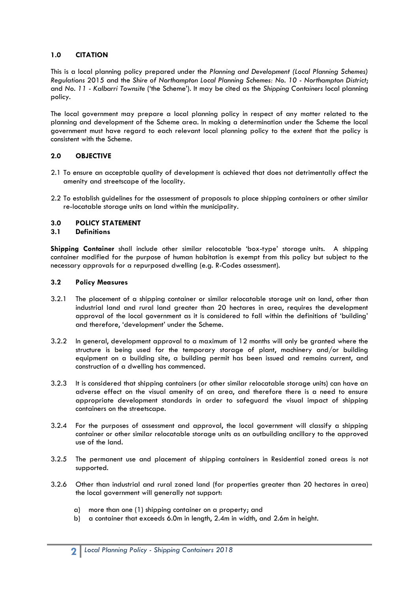# **1.0 CITATION**

This is a local planning policy prepared under the *Planning and Development (Local Planning Schemes) Regulations* 2015 and the *Shire of Northampton Local Planning Schemes: No. 10 - Northampton District*; and *No. 11 - Kalbarri Townsite* ('the Scheme'). It may be cited as the *Shipping Containers* local planning policy.

The local government may prepare a local planning policy in respect of any matter related to the planning and development of the Scheme area. In making a determination under the Scheme the local government must have regard to each relevant local planning policy to the extent that the policy is consistent with the Scheme.

# **2.0 OBJECTIVE**

- 2.1 To ensure an acceptable quality of development is achieved that does not detrimentally affect the amenity and streetscape of the locality.
- 2.2 To establish guidelines for the assessment of proposals to place shipping containers or other similar re-locatable storage units on land within the municipality.

# **3.0 POLICY STATEMENT**

#### **3.1 Definitions**

**Shipping Container** shall include other similar relocatable 'box-type' storage units. A shipping container modified for the purpose of human habitation is exempt from this policy but subject to the necessary approvals for a repurposed dwelling (e.g. R-Codes assessment).

#### **3.2 Policy Measures**

- 3.2.1 The placement of a shipping container or similar relocatable storage unit on land, other than industrial land and rural land greater than 20 hectares in area, requires the development approval of the local government as it is considered to fall within the definitions of 'building' and therefore, 'development' under the Scheme.
- 3.2.2 In general, development approval to a maximum of 12 months will only be granted where the structure is being used for the temporary storage of plant, machinery and/or building equipment on a building site, a building permit has been issued and remains current, and construction of a dwelling has commenced.
- 3.2.3 It is considered that shipping containers (or other similar relocatable storage units) can have an adverse effect on the visual amenity of an area, and therefore there is a need to ensure appropriate development standards in order to safeguard the visual impact of shipping containers on the streetscape.
- 3.2.4 For the purposes of assessment and approval, the local government will classify a shipping container or other similar relocatable storage units as an outbuilding ancillary to the approved use of the land.
- 3.2.5 The permanent use and placement of shipping containers in Residential zoned areas is not supported.
- 3.2.6 Other than industrial and rural zoned land (for properties greater than 20 hectares in area) the local government will generally not support:
	- a) more than one (1) shipping container on a property; and
	- b) a container that exceeds 6.0m in length, 2.4m in width, and 2.6m in height.